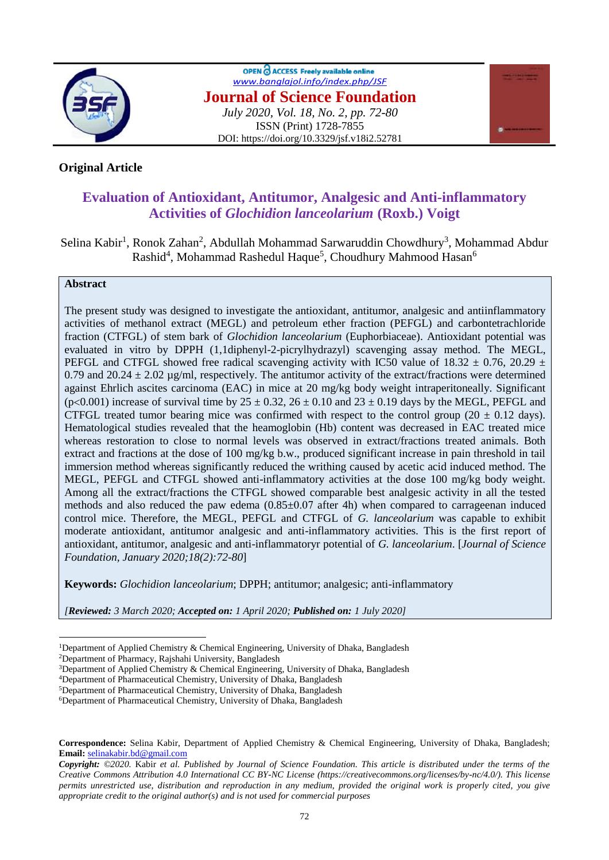

OPEN & ACCESS Freely available online *[www.banglajol.info/index.php/JSF](http://www.banglajol.info/index.php/JSF)* **Journal of Science Foundation** *July 2020, Vol. 18, No. 2, pp. 72-80* ISSN (Print) 1728-7855 DOI: https://doi.org/10.3329/jsf.v18i2.52781



# **Original Article**

# **Evaluation of Antioxidant, Antitumor, Analgesic and Anti-inflammatory Activities of** *Glochidion lanceolarium* **(Roxb.) Voigt**

Selina Kabir<sup>1</sup>, Ronok Zahan<sup>2</sup>, Abdullah Mohammad Sarwaruddin Chowdhury<sup>3</sup>, Mohammad Abdur Rashid<sup>4</sup>, Mohammad Rashedul Haque<sup>5</sup>, Choudhury Mahmood Hasan<sup>6</sup>

## **Abstract**

 $\overline{a}$ 

The present study was designed to investigate the antioxidant, antitumor, analgesic and antiinflammatory activities of methanol extract (MEGL) and petroleum ether fraction (PEFGL) and carbontetrachloride fraction (CTFGL) of stem bark of *Glochidion lanceolarium* (Euphorbiaceae). Antioxidant potential was evaluated in vitro by DPPH (1,1diphenyl-2-picrylhydrazyl) scavenging assay method. The MEGL, PEFGL and CTFGL showed free radical scavenging activity with IC50 value of  $18.32 \pm 0.76$ ,  $20.29 \pm 0.76$ 0.79 and 20.24  $\pm$  2.02 µg/ml, respectively. The antitumor activity of the extract/fractions were determined against Ehrlich ascites carcinoma (EAC) in mice at 20 mg/kg body weight intraperitoneally. Significant (p<0.001) increase of survival time by  $25 \pm 0.32$ ,  $26 \pm 0.10$  and  $23 \pm 0.19$  days by the MEGL, PEFGL and CTFGL treated tumor bearing mice was confirmed with respect to the control group ( $20 \pm 0.12$  days). Hematological studies revealed that the heamoglobin (Hb) content was decreased in EAC treated mice whereas restoration to close to normal levels was observed in extract/fractions treated animals. Both extract and fractions at the dose of 100 mg/kg b.w., produced significant increase in pain threshold in tail immersion method whereas significantly reduced the writhing caused by acetic acid induced method. The MEGL, PEFGL and CTFGL showed anti-inflammatory activities at the dose 100 mg/kg body weight. Among all the extract/fractions the CTFGL showed comparable best analgesic activity in all the tested methods and also reduced the paw edema (0.85±0.07 after 4h) when compared to carrageenan induced control mice. Therefore, the MEGL, PEFGL and CTFGL of *G. lanceolarium* was capable to exhibit moderate antioxidant, antitumor analgesic and anti-inflammatory activities. This is the first report of antioxidant, antitumor, analgesic and anti-inflammatoryr potential of *G. lanceolarium*. [*Journal of Science Foundation, January 2020;18(2):72-80*]

**Keywords:** *Glochidion lanceolarium*; DPPH; antitumor; analgesic; anti-inflammatory

*[Reviewed: 3 March 2020; Accepted on: 1 April 2020; Published on: 1 July 2020]*

<sup>2</sup>Department of Pharmacy, Rajshahi University, Bangladesh

<sup>1</sup>Department of Applied Chemistry & Chemical Engineering, University of Dhaka, Bangladesh

<sup>&</sup>lt;sup>3</sup>Department of Applied Chemistry & Chemical Engineering, University of Dhaka, Bangladesh

<sup>4</sup>Department of Pharmaceutical Chemistry, University of Dhaka, Bangladesh

<sup>5</sup>Department of Pharmaceutical Chemistry, University of Dhaka, Bangladesh

<sup>6</sup>Department of Pharmaceutical Chemistry, University of Dhaka, Bangladesh

**Correspondence:** Selina Kabir, Department of Applied Chemistry & Chemical Engineering, University of Dhaka, Bangladesh; **Email:** [selinakabir.bd@gmail.com](mailto:selinakabir.bd@gmail.com)

*Copyright: ©2020.* Kabir *et al. Published by Journal of Science Foundation. This article is distributed under the terms of the Creative Commons Attribution 4.0 International CC BY-NC License (https://creativecommons.org/licenses/by-nc/4.0/). This license permits unrestricted use, distribution and reproduction in any medium, provided the original work is properly cited, you give appropriate credit to the original author(s) and is not used for commercial purposes*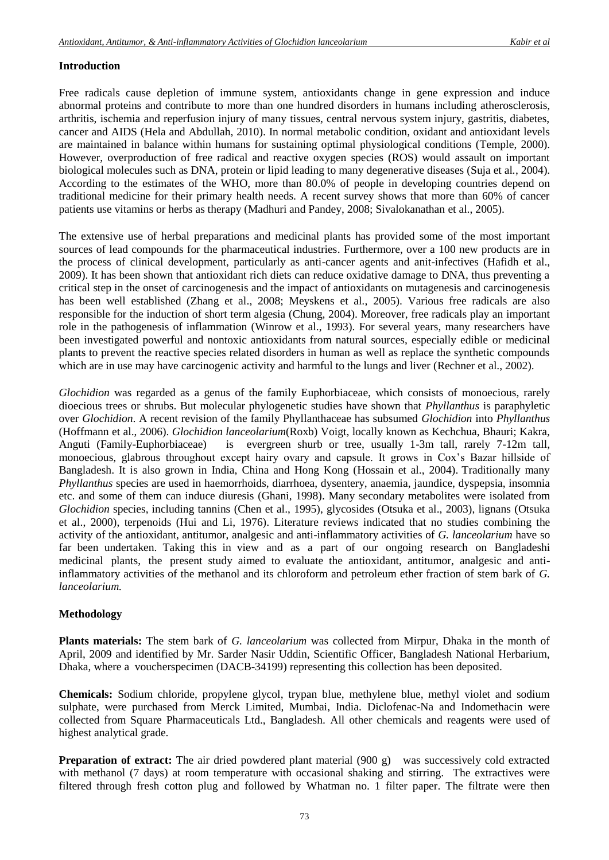## **Introduction**

Free radicals cause depletion of immune system, antioxidants change in gene expression and induce abnormal proteins and contribute to more than one hundred disorders in humans including atherosclerosis, arthritis, ischemia and reperfusion injury of many tissues, central nervous system injury, gastritis, diabetes, cancer and AIDS (Hela and Abdullah, 2010). In normal metabolic condition, oxidant and antioxidant levels are maintained in balance within humans for sustaining optimal physiological conditions (Temple, 2000). However, overproduction of free radical and reactive oxygen species (ROS) would assault on important biological molecules such as DNA, protein or lipid leading to many degenerative diseases (Suja et al*.*, 2004). According to the estimates of the WHO, more than 80.0% of people in developing countries depend on traditional medicine for their primary health needs. A recent survey shows that more than 60% of cancer patients use vitamins or herbs as therapy (Madhuri and Pandey, 2008; Sivalokanathan et al., 2005).

The extensive use of herbal preparations and medicinal plants has provided some of the most important sources of lead compounds for the pharmaceutical industries. Furthermore, over a 100 new products are in the process of clinical development, particularly as anti-cancer agents and anit-infectives (Hafidh et al., 2009). It has been shown that antioxidant rich diets can reduce oxidative damage to DNA, thus preventing a critical step in the onset of carcinogenesis and the impact of antioxidants on mutagenesis and carcinogenesis has been well established (Zhang et al., 2008; Meyskens et al*.*, 2005). Various free radicals are also responsible for the induction of short term algesia (Chung, 2004). Moreover, free radicals play an important role in the pathogenesis of inflammation (Winrow et al., 1993). For several years, many researchers have been investigated powerful and nontoxic antioxidants from natural sources, especially edible or medicinal plants to prevent the reactive species related disorders in human as well as replace the synthetic compounds which are in use may have carcinogenic activity and harmful to the lungs and liver (Rechner et al., 2002).

*Glochidion* was regarded as a genus of the family Euphorbiaceae, which consists of monoecious, rarely dioecious trees or shrubs. But molecular phylogenetic studies have shown that *Phyllanthus* is paraphyletic over *Glochidion*. A recent revision of the family Phyllanthaceae has subsumed *Glochidion* into *Phyllanthus* (Hoffmann et al., 2006). *Glochidion lanceolarium*(Roxb) Voigt, locally known as Kechchua, Bhauri; Kakra, Anguti (Family-Euphorbiaceae) is evergreen shurb or tree, usually 1-3m tall, rarely 7-12m tall, monoecious, glabrous throughout except hairy ovary and capsule. It grows in Cox's Bazar hillside of Bangladesh. It is also grown in India, China and Hong Kong (Hossain et al., 2004). Traditionally many *Phyllanthus* species are used in haemorrhoids, diarrhoea, dysentery, anaemia, jaundice, dyspepsia, insomnia etc. and some of them can induce diuresis (Ghani, 1998). Many secondary metabolites were isolated from *Glochidion* species, including tannins (Chen et al., 1995), glycosides (Otsuka et al., 2003), lignans (Otsuka et al., 2000), terpenoids (Hui and Li, 1976). Literature reviews indicated that no studies combining the activity of the antioxidant, antitumor, analgesic and anti-inflammatory activities of *G. lanceolarium* have so far been undertaken. Taking this in view and as a part of our ongoing research on Bangladeshi medicinal plants, the present study aimed to evaluate the antioxidant, antitumor, analgesic and antiinflammatory activities of the methanol and its chloroform and petroleum ether fraction of stem bark of *G. lanceolarium.*

## **Methodology**

**Plants materials:** The stem bark of *G. lanceolarium* was collected from Mirpur, Dhaka in the month of April, 2009 and identified by Mr. Sarder Nasir Uddin, Scientific Officer, Bangladesh National Herbarium, Dhaka, where a voucherspecimen (DACB-34199) representing this collection has been deposited.

**Chemicals:** Sodium chloride, propylene glycol, trypan blue, methylene blue, methyl violet and sodium sulphate, were purchased from Merck Limited, Mumbai, India. Diclofenac-Na and Indomethacin were collected from Square Pharmaceuticals Ltd., Bangladesh. All other chemicals and reagents were used of highest analytical grade.

**Preparation of extract:** The air dried powdered plant material (900 g) was successively cold extracted with methanol (7 days) at room temperature with occasional shaking and stirring. The extractives were filtered through fresh cotton plug and followed by Whatman no. 1 filter paper. The filtrate were then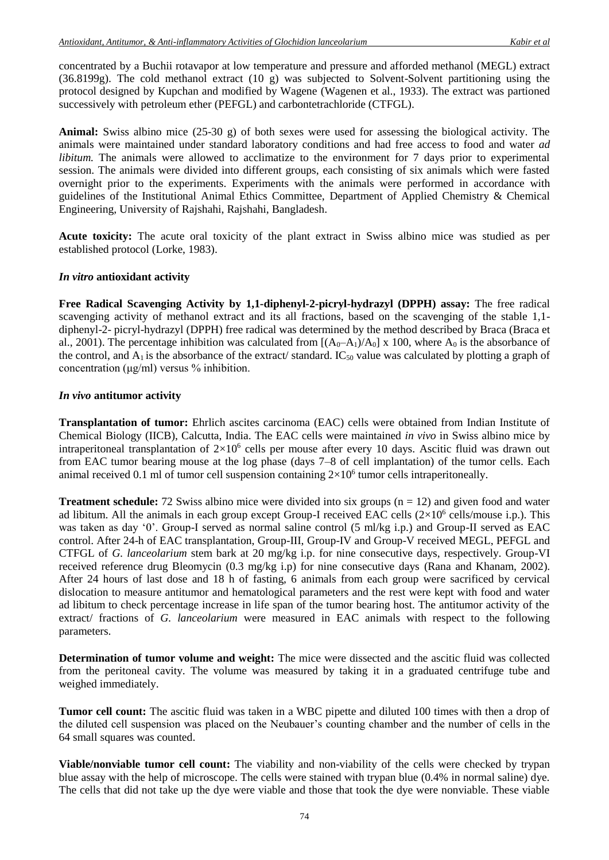concentrated by a Buchii rotavapor at low temperature and pressure and afforded methanol (MEGL) extract (36.8199g). The cold methanol extract (10 g) was subjected to Solvent-Solvent partitioning using the protocol designed by Kupchan and modified by Wagene (Wagenen et al., 1933). The extract was partioned successively with petroleum ether (PEFGL) and carbontetrachloride (CTFGL).

**Animal:** Swiss albino mice (25-30 g) of both sexes were used for assessing the biological activity. The animals were maintained under standard laboratory conditions and had free access to food and water *ad libitum.* The animals were allowed to acclimatize to the environment for 7 days prior to experimental session. The animals were divided into different groups, each consisting of six animals which were fasted overnight prior to the experiments. Experiments with the animals were performed in accordance with guidelines of the Institutional Animal Ethics Committee, Department of Applied Chemistry & Chemical Engineering, University of Rajshahi, Rajshahi, Bangladesh.

**Acute toxicity:** The acute oral toxicity of the plant extract in Swiss albino mice was studied as per established protocol (Lorke, 1983).

#### *In vitro* **antioxidant activity**

**Free Radical Scavenging Activity by 1,1-diphenyl-2-picryl-hydrazyl (DPPH) assay:** The free radical scavenging activity of methanol extract and its all fractions, based on the scavenging of the stable 1,1 diphenyl-2- picryl-hydrazyl (DPPH) free radical was determined by the method described by Braca (Braca et al., 2001). The percentage inhibition was calculated from  $[(A_0-A_1)/A_0] \times 100$ , where  $A_0$  is the absorbance of the control, and  $A_1$  is the absorbance of the extract/ standard. IC<sub>50</sub> value was calculated by plotting a graph of concentration (μg/ml) versus % inhibition.

#### *In vivo* **antitumor activity**

**Transplantation of tumor:** Ehrlich ascites carcinoma (EAC) cells were obtained from Indian Institute of Chemical Biology (IICB), Calcutta, India. The EAC cells were maintained *in vivo* in Swiss albino mice by intraperitoneal transplantation of  $2\times10^6$  cells per mouse after every 10 days. Ascitic fluid was drawn out from EAC tumor bearing mouse at the log phase (days 7–8 of cell implantation) of the tumor cells. Each animal received 0.1 ml of tumor cell suspension containing  $2\times10^6$  tumor cells intraperitoneally.

**Treatment schedule:** 72 Swiss albino mice were divided into six groups (n = 12) and given food and water ad libitum. All the animals in each group except Group-I received EAC cells  $(2\times10^6 \text{ cells/mouse i.p.})$ . This was taken as day '0'. Group-I served as normal saline control (5 ml/kg i.p.) and Group-II served as EAC control. After 24-h of EAC transplantation, Group-III, Group-IV and Group-V received MEGL, PEFGL and CTFGL of *G. lanceolarium* stem bark at 20 mg/kg i.p. for nine consecutive days, respectively. Group-VI received reference drug Bleomycin (0.3 mg/kg i.p) for nine consecutive days (Rana and Khanam, 2002). After 24 hours of last dose and 18 h of fasting, 6 animals from each group were sacrificed by cervical dislocation to measure antitumor and hematological parameters and the rest were kept with food and water ad libitum to check percentage increase in life span of the tumor bearing host. The antitumor activity of the extract/ fractions of *G. lanceolarium* were measured in EAC animals with respect to the following parameters.

**Determination of tumor volume and weight:** The mice were dissected and the ascitic fluid was collected from the peritoneal cavity. The volume was measured by taking it in a graduated centrifuge tube and weighed immediately.

**Tumor cell count:** The ascitic fluid was taken in a WBC pipette and diluted 100 times with then a drop of the diluted cell suspension was placed on the Neubauer's counting chamber and the number of cells in the 64 small squares was counted.

**Viable/nonviable tumor cell count:** The viability and non-viability of the cells were checked by trypan blue assay with the help of microscope. The cells were stained with trypan blue (0.4% in normal saline) dye. The cells that did not take up the dye were viable and those that took the dye were nonviable. These viable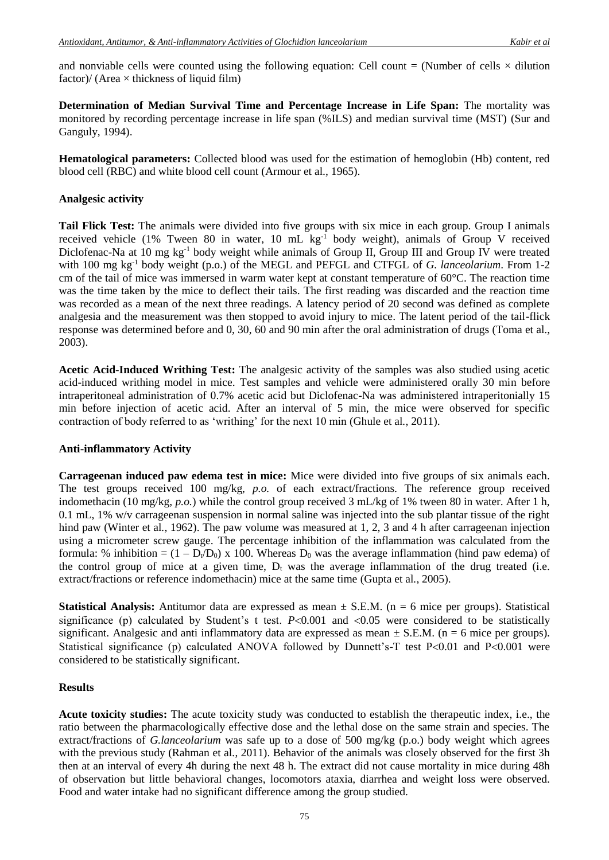and nonviable cells were counted using the following equation: Cell count  $=$  (Number of cells  $\times$  dilution factor)/ (Area  $\times$  thickness of liquid film)

**Determination of Median Survival Time and Percentage Increase in Life Span:** The mortality was monitored by recording percentage increase in life span (%ILS) and median survival time (MST) (Sur and Ganguly, 1994).

**Hematological parameters:** Collected blood was used for the estimation of hemoglobin (Hb) content, red blood cell (RBC) and white blood cell count (Armour et al., 1965).

#### **Analgesic activity**

**Tail Flick Test:** The animals were divided into five groups with six mice in each group. Group I animals received vehicle (1% Tween 80 in water, 10 mL kg-1 body weight), animals of Group V received Diclofenac-Na at 10 mg kg<sup>-1</sup> body weight while animals of Group II, Group III and Group IV were treated with 100 mg kg<sup>-1</sup> body weight (p.o.) of the MEGL and PEFGL and CTFGL of *G. lanceolarium*. From 1-2 cm of the tail of mice was immersed in warm water kept at constant temperature of  $60^{\circ}$ C. The reaction time was the time taken by the mice to deflect their tails. The first reading was discarded and the reaction time was recorded as a mean of the next three readings. A latency period of 20 second was defined as complete analgesia and the measurement was then stopped to avoid injury to mice. The latent period of the tail-flick response was determined before and 0, 30, 60 and 90 min after the oral administration of drugs (Toma et al*.*, 2003).

**Acetic Acid-Induced Writhing Test:** The analgesic activity of the samples was also studied using acetic acid-induced writhing model in mice. Test samples and vehicle were administered orally 30 min before intraperitoneal administration of 0.7% acetic acid but Diclofenac-Na was administered intraperitonially 15 min before injection of acetic acid. After an interval of 5 min, the mice were observed for specific contraction of body referred to as 'writhing' for the next 10 min (Ghule et al*.*, 2011).

## **Anti-inflammatory Activity**

**Carrageenan induced paw edema test in mice:** Mice were divided into five groups of six animals each. The test groups received 100 mg/kg, *p.o.* of each extract/fractions. The reference group received indomethacin (10 mg/kg, *p.o.*) while the control group received 3 mL/kg of 1% tween 80 in water. After 1 h, 0.1 mL, 1% w/v carrageenan suspension in normal saline was injected into the sub plantar tissue of the right hind paw (Winter et al., 1962). The paw volume was measured at 1, 2, 3 and 4 h after carrageenan injection using a micrometer screw gauge. The percentage inhibition of the inflammation was calculated from the formula: % inhibition =  $(1 - D_v/D_0) \times 100$ . Whereas  $D_0$  was the average inflammation (hind paw edema) of the control group of mice at a given time,  $D_t$  was the average inflammation of the drug treated (i.e. extract/fractions or reference indomethacin) mice at the same time (Gupta et al*.*, 2005).

**Statistical Analysis:** Antitumor data are expressed as mean  $\pm$  S.E.M. (n = 6 mice per groups). Statistical significance (p) calculated by Student's t test.  $P<0.001$  and  $<0.05$  were considered to be statistically significant. Analgesic and anti inflammatory data are expressed as mean  $\pm$  S.E.M. (n = 6 mice per groups). Statistical significance (p) calculated ANOVA followed by Dunnett's-T test  $P<0.01$  and  $P<0.001$  were considered to be statistically significant.

## **Results**

**Acute toxicity studies:** The acute toxicity study was conducted to establish the therapeutic index, i.e., the ratio between the pharmacologically effective dose and the lethal dose on the same strain and species. The extract/fractions of *G.lanceolarium* was safe up to a dose of 500 mg/kg (p.o.) body weight which agrees with the previous study (Rahman et al*.*, 2011). Behavior of the animals was closely observed for the first 3h then at an interval of every 4h during the next 48 h. The extract did not cause mortality in mice during 48h of observation but little behavioral changes, locomotors ataxia, diarrhea and weight loss were observed. Food and water intake had no significant difference among the group studied.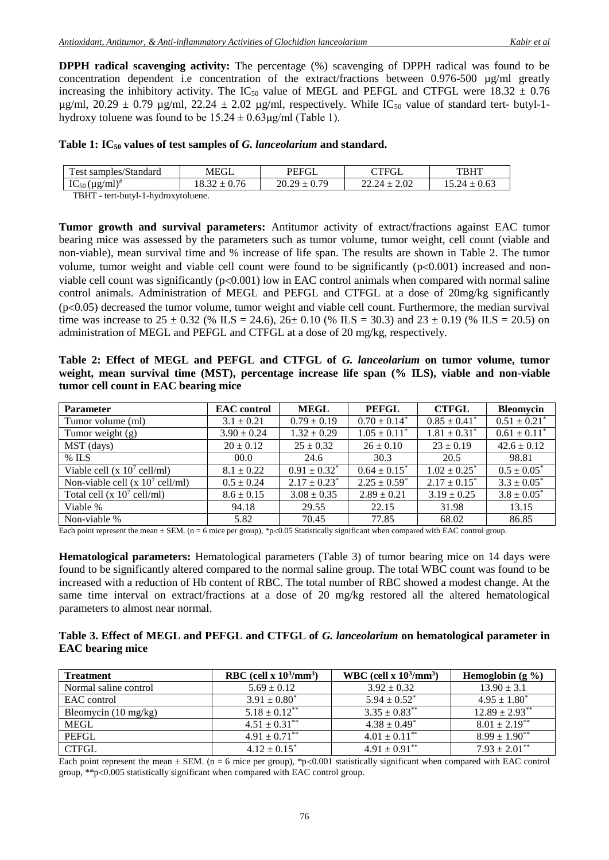**DPPH radical scavenging activity:** The percentage (%) scavenging of DPPH radical was found to be concentration dependent i.e concentration of the extract/fractions between 0.976-500 µg/ml greatly increasing the inhibitory activity. The IC<sub>50</sub> value of MEGL and PEFGL and CTFGL were 18.32  $\pm$  0.76 ug/ml,  $20.29 \pm 0.79$  ug/ml,  $22.24 \pm 2.02$  ug/ml, respectively. While IC<sub>50</sub> value of standard tert- butyl-1hydroxy toluene was found to be  $15.24 \pm 0.63 \mu$ g/ml (Table 1).

#### **Table 1: IC<sup>50</sup> values of test samples of** *G. lanceolarium* **and standard.**

| $\mathbf{r}$<br>samples/Standard<br>est | MEGL | PEEGI<br>UL                  | $\cap$ TEGI<br>UL | TBHT |  |
|-----------------------------------------|------|------------------------------|-------------------|------|--|
| $IC_{50} (\mu g/ml)^*$                  |      | 79<br>ጎሰ<br>$\Omega$<br>0.72 | 2.02              |      |  |
| <b>TIDIT</b>                            |      |                              |                   |      |  |

TBHT - tert-butyl-1-hydroxytoluene.

**Tumor growth and survival parameters:** Antitumor activity of extract/fractions against EAC tumor bearing mice was assessed by the parameters such as tumor volume, tumor weight, cell count (viable and non-viable), mean survival time and % increase of life span. The results are shown in Table 2. The tumor volume, tumor weight and viable cell count were found to be significantly  $(p<0.001)$  increased and nonviable cell count was significantly  $(p<0.001)$  low in EAC control animals when compared with normal saline control animals. Administration of MEGL and PEFGL and CTFGL at a dose of 20mg/kg significantly  $(p<0.05)$  decreased the tumor volume, tumor weight and viable cell count. Furthermore, the median survival time was increase to 25  $\pm$  0.32 (% ILS = 24.6), 26 $\pm$  0.10 (% ILS = 30.3) and 23  $\pm$  0.19 (% ILS = 20.5) on administration of MEGL and PEFGL and CTFGL at a dose of 20 mg/kg, respectively.

**Table 2: Effect of MEGL and PEFGL and CTFGL of** *G. lanceolarium* **on tumor volume, tumor weight, mean survival time (MST), percentage increase life span (% ILS), viable and non-viable tumor cell count in EAC bearing mice**

| <b>Parameter</b>                   | <b>EAC</b> control | <b>MEGL</b>                  | <b>PEFGL</b>      | <b>CTFGL</b>                 | <b>Bleomycin</b>             |
|------------------------------------|--------------------|------------------------------|-------------------|------------------------------|------------------------------|
| Tumor volume (ml)                  | $3.1 \pm 0.21$     | $0.79 \pm 0.19$              | $0.70 \pm 0.14^*$ | $0.85 \pm 0.41$ <sup>*</sup> | $0.51 \pm 0.21$ <sup>*</sup> |
| Tumor weight $(g)$                 | $3.90 \pm 0.24$    | $1.32 \pm 0.29$              | $1.05 \pm 0.11^*$ | $1.81 \pm 0.31^*$            | $0.61 \pm 0.11$ <sup>*</sup> |
| MST (days)                         | $20 \pm 0.12$      | $25 \pm 0.32$                | $26 \pm 0.10$     | $23 \pm 0.19$                | $42.6 \pm 0.12$              |
| $%$ ILS                            | 00.0               | 24.6                         | 30.3              | 20.5                         | 98.81                        |
| Viable cell (x $10^7$ cell/ml)     | $8.1 \pm 0.22$     | $0.91 \pm 0.32^*$            | $0.64 \pm 0.15^*$ | $1.02 \pm 0.25^*$            | $0.5 \pm 0.05^*$             |
| Non-viable cell (x $10^7$ cell/ml) | $0.5 \pm 0.24$     | $2.17 \pm 0.23$ <sup>*</sup> | $2.25 \pm 0.59^*$ | $2.17 \pm 0.15^*$            | $3.3 \pm 0.05^*$             |
| Total cell (x $10^7$ cell/ml)      | $8.6 \pm 0.15$     | $3.08 \pm 0.35$              | $2.89 \pm 0.21$   | $3.19 \pm 0.25$              | $3.8 \pm 0.05^*$             |
| Viable %                           | 94.18              | 29.55                        | 22.15             | 31.98                        | 13.15                        |
| Non-viable %                       | 5.82               | 70.45                        | 77.85             | 68.02                        | 86.85                        |

Each point represent the mean  $\pm$  SEM. (n = 6 mice per group), \*p<0.05 Statistically significant when compared with EAC control group.

**Hematological parameters:** Hematological parameters (Table 3) of tumor bearing mice on 14 days were found to be significantly altered compared to the normal saline group. The total WBC count was found to be increased with a reduction of Hb content of RBC. The total number of RBC showed a modest change. At the same time interval on extract/fractions at a dose of 20 mg/kg restored all the altered hematological parameters to almost near normal.

## **Table 3. Effect of MEGL and PEFGL and CTFGL of** *G. lanceolarium* **on hematological parameter in EAC bearing mice**

| <b>Treatment</b>               | RBC (cell x $10^3/\text{mm}^3$ ) | WBC (cell x $10^3/\text{mm}^3$ ) | Hemoglobin $(g \% )$          |
|--------------------------------|----------------------------------|----------------------------------|-------------------------------|
| Normal saline control          | $5.69 \pm 0.12$                  | $3.92 \pm 0.32$                  | $13.90 \pm 3.1$               |
| EAC control                    | $3.91 \pm 0.80^*$                | $5.94 \pm 0.52^*$                | $4.95 \pm 1.80^*$             |
| Bleomycin $(10 \text{ mg/kg})$ | $5.18 \pm 0.12$ **               | $3.35 \pm 0.83^{**}$             | $12.89 \pm 2.93$ **           |
| <b>MEGL</b>                    | $4.51 \pm 0.31$ **               | $4.38 \pm 0.49^*$                | $8.01 \pm 2.19^{**}$          |
| PEFGL                          | $4.91 + 0.71$ <sup>**</sup>      | $4.01 \pm 0.11$ <sup>**</sup>    | $8.99 \pm 1.90^{**}$          |
| <b>CTFGL</b>                   | $4.12 \pm 0.15^*$                | $4.91 \pm 0.91$ **               | $7.93 \pm 2.01$ <sup>**</sup> |

Each point represent the mean  $\pm$  SEM. (n = 6 mice per group), \*p<0.001 statistically significant when compared with EAC control group,  $**p<0.005$  statistically significant when compared with EAC control group.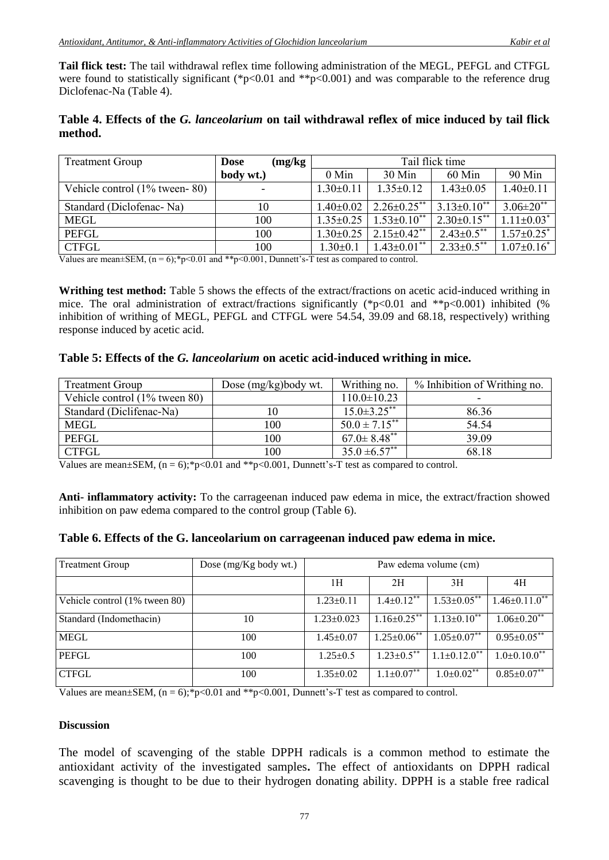**Tail flick test:** The tail withdrawal reflex time following administration of the MEGL, PEFGL and CTFGL were found to statistically significant (\*p<0.01 and \*\*p<0.001) and was comparable to the reference drug Diclofenac-Na (Table 4).

# **Table 4. Effects of the** *G. lanceolarium* **on tail withdrawal reflex of mice induced by tail flick method.**

| <b>Treatment Group</b>           | (mg/kg)<br><b>Dose</b> | Tail flick time |                               |                      |                              |
|----------------------------------|------------------------|-----------------|-------------------------------|----------------------|------------------------------|
|                                  | body wt.)              | $0$ Min         | $30$ Min                      | $60$ Min             | 90 Min                       |
| Vehicle control $(1\%$ tween-80) |                        | $1.30 \pm 0.11$ | $1.35+0.12$                   | $1.43 \pm 0.05$      | $1.40 \pm 0.11$              |
| Standard (Diclofenac-Na)         | 10                     | $1.40 \pm 0.02$ | $2.26 \pm 0.25$ **            | $3.13 \pm 0.10^{**}$ | $3.06 \pm 20$ <sup>**</sup>  |
| <b>MEGL</b>                      | 100                    | $1.35 \pm 0.25$ | $1.53 \pm 0.10$ **            | $2.30\pm0.15***$     | $1.11 \pm 0.03$ <sup>*</sup> |
| <b>PEFGL</b>                     | 100                    | $1.30 \pm 0.25$ | $2.15 \pm 0.42$ <sup>**</sup> | $2.43 \pm 0.5$ **    | $1.57 \pm 0.25$ <sup>*</sup> |
| <b>CTFGL</b>                     | 100                    | $1.30 \pm 0.1$  | $1.43 \pm 0.01$ **            | $2.33 \pm 0.5$ **    | $1.07 \pm 0.16^*$            |

Values are mean $\pm$ SEM, (n = 6);\*p<0.01 and \*\*p<0.001, Dunnett's-T test as compared to control.

**Writhing test method:** Table 5 shows the effects of the extract/fractions on acetic acid-induced writhing in mice. The oral administration of extract/fractions significantly (\*p<0.01 and \*\*p<0.001) inhibited (% inhibition of writhing of MEGL, PEFGL and CTFGL were 54.54, 39.09 and 68.18, respectively) writhing response induced by acetic acid.

## **Table 5: Effects of the** *G. lanceolarium* **on acetic acid-induced writhing in mice.**

| <b>Treatment Group</b>        | Dose (mg/kg)body wt. | Writhing no.                  | % Inhibition of Writhing no. |
|-------------------------------|----------------------|-------------------------------|------------------------------|
| Vehicle control (1% tween 80) |                      | $110.0 \pm 10.23$             |                              |
| Standard (Diclifenac-Na)      | 10                   | $15.0 \pm 3.25$ **            | 86.36                        |
| <b>MEGL</b>                   | 100                  | $50.0 \pm 7.15^{**}$          | 54.54                        |
| <b>PEFGL</b>                  | 100                  | $67.0 \pm 8.48$ <sup>**</sup> | 39.09                        |
| <b>CTFGL</b>                  | 100                  | $35.0 \pm 6.57$ **            | 68.18                        |

Values are mean $\pm$ SEM, (n = 6);\*p<0.01 and \*\*p<0.001, Dunnett's-T test as compared to control.

**Anti- inflammatory activity:** To the carrageenan induced paw edema in mice, the extract/fraction showed inhibition on paw edema compared to the control group (Table 6).

## **Table 6. Effects of the G. lanceolarium on carrageenan induced paw edema in mice.**

| Treatment Group               | Dose (mg/Kg body wt.) | Paw edema volume (cm) |                      |                                |                                 |
|-------------------------------|-----------------------|-----------------------|----------------------|--------------------------------|---------------------------------|
|                               |                       | 1H                    | 2H                   | 3H                             | 4H                              |
| Vehicle control (1% tween 80) |                       | $1.23 \pm 0.11$       | $1.4 \pm 0.12$ **    | $1.53 \pm 0.05$ **             | $1.46 \pm 0.11.0$ <sup>**</sup> |
| Standard (Indomethacin)       | 10                    | $1.23 \pm 0.023$      | $1.16 \pm 0.25$ **   | $1.13 \pm 0.10$ **             | $1.06 \pm 0.20$ **              |
| <b>MEGL</b>                   | 100                   | $1.45 \pm 0.07$       | $1.25 \pm 0.06^{**}$ | $1.05 \pm 0.07$ **             | $0.95 \pm 0.05$ **              |
| <b>PEFGL</b>                  | 100                   | $1.25 \pm 0.5$        | $1.23 \pm 0.5$ **    | $1.1 \pm 0.12.0$ <sup>**</sup> | $1.0 \pm 0.10.0^{**}$           |
| <b>CTFGL</b>                  | 100                   | $1.35 \pm 0.02$       | $1.1 \pm 0.07$ **    | $1.0{\pm}0.02^{**}$            | $0.85 \pm 0.07^{**}$            |

Values are mean $\pm$ SEM, (n = 6);\*p<0.01 and \*\*p<0.001, Dunnett's-T test as compared to control.

## **Discussion**

The model of scavenging of the stable DPPH radicals is a common method to estimate the antioxidant activity of the investigated samples**.** The effect of antioxidants on DPPH radical scavenging is thought to be due to their hydrogen donating ability. DPPH is a stable free radical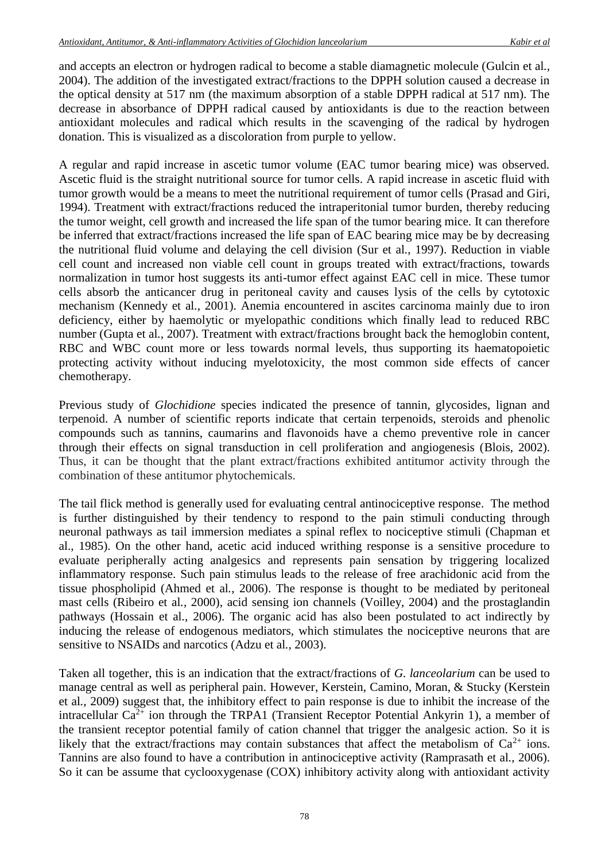and accepts an electron or hydrogen radical to become a stable diamagnetic molecule (Gulcin et al*.*, 2004). The addition of the investigated extract/fractions to the DPPH solution caused a decrease in the optical density at 517 nm (the maximum absorption of a stable DPPH radical at 517 nm). The decrease in absorbance of DPPH radical caused by antioxidants is due to the reaction between antioxidant molecules and radical which results in the scavenging of the radical by hydrogen donation. This is visualized as a discoloration from purple to yellow.

A regular and rapid increase in ascetic tumor volume (EAC tumor bearing mice) was observed. Ascetic fluid is the straight nutritional source for tumor cells. A rapid increase in ascetic fluid with tumor growth would be a means to meet the nutritional requirement of tumor cells (Prasad and Giri, 1994). Treatment with extract/fractions reduced the intraperitonial tumor burden, thereby reducing the tumor weight, cell growth and increased the life span of the tumor bearing mice. It can therefore be inferred that extract/fractions increased the life span of EAC bearing mice may be by decreasing the nutritional fluid volume and delaying the cell division (Sur et al*.*, 1997). Reduction in viable cell count and increased non viable cell count in groups treated with extract/fractions, towards normalization in tumor host suggests its anti-tumor effect against EAC cell in mice. These tumor cells absorb the anticancer drug in peritoneal cavity and causes lysis of the cells by cytotoxic mechanism (Kennedy et al*.*, 2001). Anemia encountered in ascites carcinoma mainly due to iron deficiency, either by haemolytic or myelopathic conditions which finally lead to reduced RBC number (Gupta et al*.*, 2007). Treatment with extract/fractions brought back the hemoglobin content, RBC and WBC count more or less towards normal levels, thus supporting its haematopoietic protecting activity without inducing myelotoxicity, the most common side effects of cancer chemotherapy.

Previous study of *Glochidione* species indicated the presence of tannin, glycosides, lignan and terpenoid. A number of scientific reports indicate that certain terpenoids, steroids and phenolic compounds such as tannins, caumarins and flavonoids have a chemo preventive role in cancer through their effects on signal transduction in cell proliferation and angiogenesis (Blois, 2002). Thus, it can be thought that the plant extract/fractions exhibited antitumor activity through the combination of these antitumor phytochemicals.

The tail flick method is generally used for evaluating central antinociceptive response. The method is further distinguished by their tendency to respond to the pain stimuli conducting through neuronal pathways as tail immersion mediates a spinal reflex to nociceptive stimuli (Chapman et al., 1985). On the other hand, acetic acid induced writhing response is a sensitive procedure to evaluate peripherally acting analgesics and represents pain sensation by triggering localized inflammatory response. Such pain stimulus leads to the release of free arachidonic acid from the tissue phospholipid (Ahmed et al*.*, 2006). The response is thought to be mediated by peritoneal mast cells (Ribeiro et al*.*, 2000), acid sensing ion channels (Voilley, 2004) and the prostaglandin pathways (Hossain et al*.*, 2006). The organic acid has also been postulated to act indirectly by inducing the release of endogenous mediators, which stimulates the nociceptive neurons that are sensitive to NSAIDs and narcotics (Adzu et al*.*, 2003).

Taken all together, this is an indication that the extract/fractions of *G. lanceolarium* can be used to manage central as well as peripheral pain. However, Kerstein, Camino, Moran, & Stucky (Kerstein et al*.*, 2009) suggest that, the inhibitory effect to pain response is due to inhibit the increase of the intracellular  $Ca^{2+}$  ion through the TRPA1 (Transient Receptor Potential Ankyrin 1), a member of the transient receptor potential family of cation channel that trigger the analgesic action. So it is likely that the extract/fractions may contain substances that affect the metabolism of  $Ca^{2+}$  ions. Tannins are also found to have a contribution in antinociceptive activity (Ramprasath et al*.*, 2006). So it can be assume that cyclooxygenase (COX) inhibitory activity along with antioxidant activity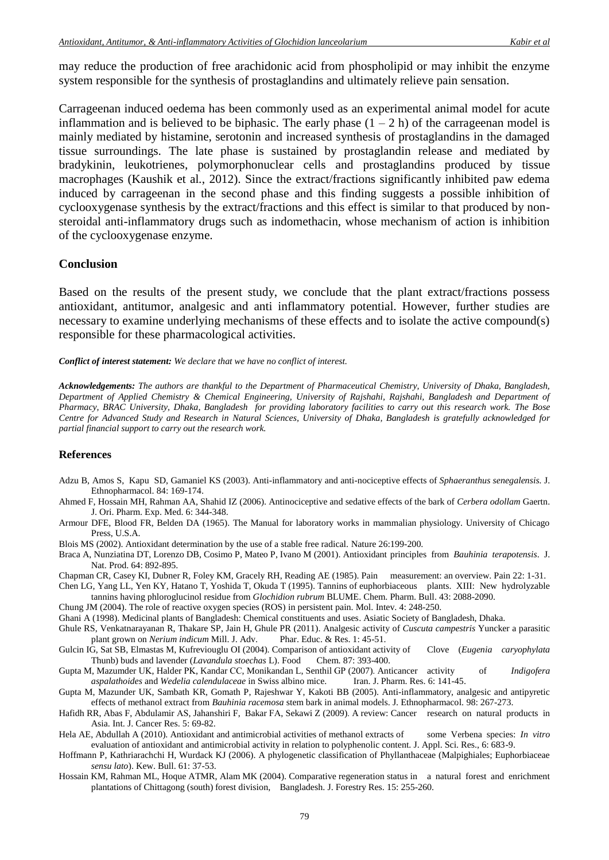may reduce the production of free arachidonic acid from phospholipid or may inhibit the enzyme system responsible for the synthesis of prostaglandins and ultimately relieve pain sensation.

Carrageenan induced oedema has been commonly used as an experimental animal model for acute inflammation and is believed to be biphasic. The early phase  $(1 - 2 h)$  of the carrageenan model is mainly mediated by histamine, serotonin and increased synthesis of prostaglandins in the damaged tissue surroundings. The late phase is sustained by prostaglandin release and mediated by bradykinin, leukotrienes, polymorphonuclear cells and prostaglandins produced by tissue macrophages (Kaushik et al*.*, 2012). Since the extract/fractions significantly inhibited paw edema induced by carrageenan in the second phase and this finding suggests a possible inhibition of cyclooxygenase synthesis by the extract/fractions and this effect is similar to that produced by nonsteroidal anti-inflammatory drugs such as indomethacin, whose mechanism of action is inhibition of the cyclooxygenase enzyme.

#### **Conclusion**

Based on the results of the present study, we conclude that the plant extract/fractions possess antioxidant, antitumor, analgesic and anti inflammatory potential. However, further studies are necessary to examine underlying mechanisms of these effects and to isolate the active compound(s) responsible for these pharmacological activities.

*Conflict of interest statement: We declare that we have no conflict of interest.*

*Acknowledgements: The authors are thankful to the Department of Pharmaceutical Chemistry, University of Dhaka, Bangladesh, Department of Applied Chemistry & Chemical Engineering, University of Rajshahi, Rajshahi, Bangladesh and Department of Pharmacy, BRAC University, Dhaka, Bangladesh for providing laboratory facilities to carry out this research work. The Bose Centre for Advanced Study and Research in Natural Sciences, University of Dhaka, Bangladesh is gratefully acknowledged for partial financial support to carry out the research work.*

#### **References**

- Adzu B, Amos S, Kapu SD, Gamaniel KS (2003). Anti-inflammatory and anti-nociceptive effects of *Sphaeranthus senegalensis.* J. Ethnopharmacol. 84: 169-174.
- Ahmed F, Hossain MH, Rahman AA, Shahid IZ (2006). Antinociceptive and sedative effects of the bark of *Cerbera odollam* Gaertn. J. Ori. Pharm. Exp. Med. 6: 344-348.
- Armour DFE, Blood FR, Belden DA (1965). The Manual for laboratory works in mammalian physiology. University of Chicago Press, U.S.A.
- Blois MS (2002). Antioxidant determination by the use of a stable free radical. Nature 26:199-200.
- Braca A, Nunziatina DT, Lorenzo DB, Cosimo P, Mateo P, Ivano M (2001). Antioxidant principles from *Bauhinia terapotensis*. J. Nat. Prod. 64: 892-895.
- Chapman CR, Casey KI, Dubner R, Foley KM, Gracely RH, Reading AE (1985). Pain measurement: an overview. Pain 22: 1-31.
- Chen LG, Yang LL, Yen KY, Hatano T, Yoshida T, Okuda T (1995). Tannins of euphorbiaceous plants. XIII: New hydrolyzable tannins having phloroglucinol residue from *Glochidion rubrum* BLUME. Chem. Pharm. Bull. 43: 2088-2090.
- Chung JM (2004). The role of reactive oxygen species (ROS) in persistent pain. Mol. Intev. 4: 248-250.
- Ghani A (1998). Medicinal plants of Bangladesh: Chemical constituents and uses. Asiatic Society of Bangladesh, Dhaka.
- Ghule RS, Venkatnarayanan R, Thakare SP, Jain H, Ghule PR (2011). Analgesic activity of *Cuscuta campestris* Yuncker a parasitic plant grown on *Nerium indicum* Mill. J. Adv. Phar. Educ. & Res. 1: 45-51.
- Gulcin IG, Sat SB, Elmastas M, Kufreviouglu OI (2004). Comparison of antioxidant activity of Clove (*Eugenia caryophylata*  Thunb) buds and lavender (*Lavandula stoechas* L). Food Chem. 87: 393-400.
- Gupta M, Mazumder UK, Halder PK, Kandar CC, Monikandan L, Senthil GP (2007). Anticancer activity of *Indigofera aspalathoides* and *Wedelia calendulaceae* in Swiss albino mice. Iran. J. Pharm. Res. 6: 141-45.
- Gupta M, Mazunder UK, Sambath KR, Gomath P, Rajeshwar Y, Kakoti BB (2005). Anti-inflammatory, analgesic and antipyretic effects of methanol extract from *Bauhinia racemosa* stem bark in animal models. J. Ethnopharmacol. 98: 267-273.
- Hafidh RR, Abas F, Abdulamir AS, Jahanshiri F, Bakar FA, Sekawi Z (2009). A review: Cancer research on natural products in Asia. Int. J. Cancer Res. 5: 69-82.
- Hela AE, Abdullah A (2010). Antioxidant and antimicrobial activities of methanol extracts of some Verbena species: *In vitro* evaluation of antioxidant and antimicrobial activity in relation to polyphenolic content. J. Appl. Sci. Res., 6: 683-9.
- Hoffmann P, Kathriarachchi H, Wurdack KJ (2006). A phylogenetic classification of Phyllanthaceae (Malpighiales; Euphorbiaceae *sensu lato*). Kew. Bull. 61: 37-53.
- Hossain KM, Rahman ML, Hoque ATMR, Alam MK (2004). Comparative regeneration status in a natural forest and enrichment plantations of Chittagong (south) forest division, Bangladesh. J. Forestry Res. 15: 255-260.